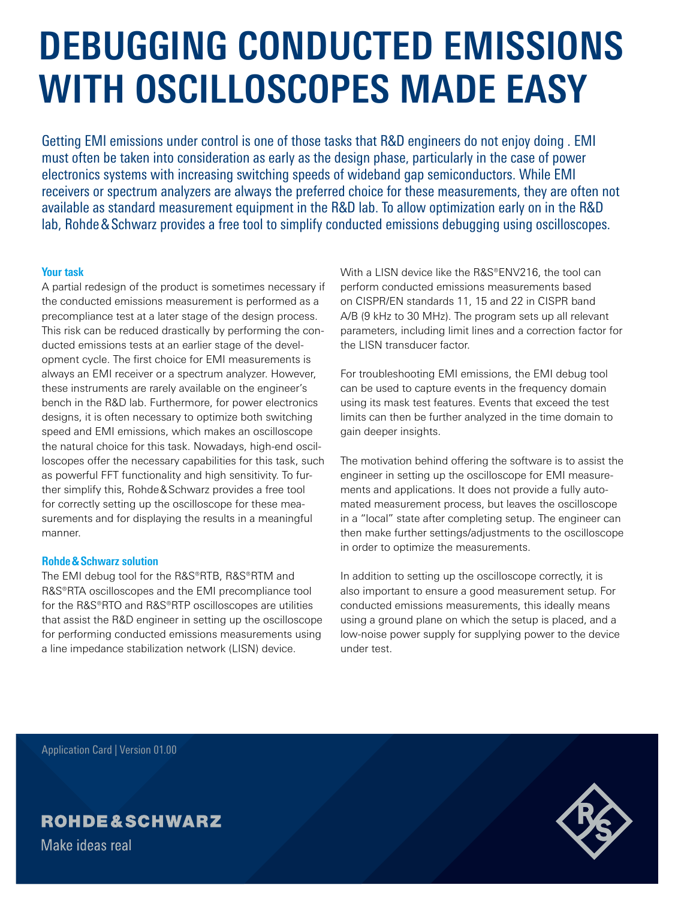# **DEBUGGING CONDUCTED EMISSIONS WITH OSCILLOSCOPES MADE EASY**

Getting EMI emissions under control is one of those tasks that R&D engineers do not enjoy doing . EMI must often be taken into consideration as early as the design phase, particularly in the case of power electronics systems with increasing switching speeds of wideband gap semiconductors. While EMI receivers or spectrum analyzers are always the preferred choice for these measurements, they are often not available as standard measurement equipment in the R&D lab. To allow optimization early on in the R&D lab, Rohde&Schwarz provides a free tool to simplify conducted emissions debugging using oscilloscopes.

# **Your task**

A partial redesign of the product is sometimes necessary if the conducted emissions measurement is performed as a precompliance test at a later stage of the design process. This risk can be reduced drastically by performing the conducted emissions tests at an earlier stage of the development cycle. The first choice for EMI measurements is always an EMI receiver or a spectrum analyzer. However, these instruments are rarely available on the engineer's bench in the R&D lab. Furthermore, for power electronics designs, it is often necessary to optimize both switching speed and EMI emissions, which makes an oscilloscope the natural choice for this task. Nowadays, high-end oscilloscopes offer the necessary capabilities for this task, such as powerful FFT functionality and high sensitivity. To further simplify this, Rohde&Schwarz provides a free tool for correctly setting up the oscilloscope for these measurements and for displaying the results in a meaningful manner.

## **Rohde&Schwarz solution**

The EMI debug tool for the R&S®RTB, R&S®RTM and R&S®RTA oscilloscopes and the EMI precompliance tool for the R&S®RTO and R&S®RTP oscilloscopes are utilities that assist the R&D engineer in setting up the oscilloscope for performing conducted emissions measurements using a line impedance stabilization network (LISN) device.

With a LISN device like the R&S®ENV216, the tool can perform conducted emissions measurements based on CISPR/EN standards 11, 15 and 22 in CISPR band A/B (9 kHz to 30 MHz). The program sets up all relevant parameters, including limit lines and a correction factor for the LISN transducer factor.

For troubleshooting EMI emissions, the EMI debug tool can be used to capture events in the frequency domain using its mask test features. Events that exceed the test limits can then be further analyzed in the time domain to gain deeper insights.

The motivation behind offering the software is to assist the engineer in setting up the oscilloscope for EMI measurements and applications. It does not provide a fully automated measurement process, but leaves the oscilloscope in a "local" state after completing setup. The engineer can then make further settings/adjustments to the oscilloscope in order to optimize the measurements.

In addition to setting up the oscilloscope correctly, it is also important to ensure a good measurement setup. For conducted emissions measurements, this ideally means using a ground plane on which the setup is placed, and a low-noise power supply for supplying power to the device under test.

Application Card | Version 01.00

# **ROHDE&SCHWARZ**

Make ideas real